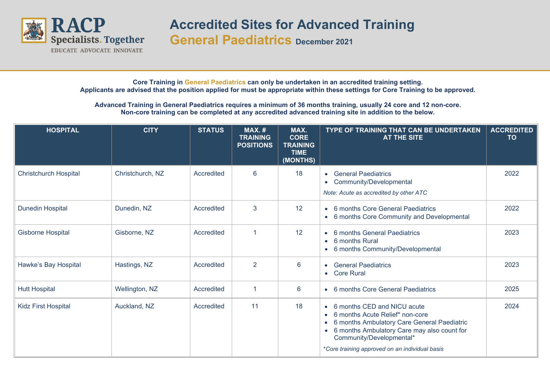

**Core Training in General Paediatrics can only be undertaken in an accredited training setting. Applicants are advised that the position applied for must be appropriate within these settings for Core Training to be approved.**

**Advanced Training in General Paediatrics requires a minimum of 36 months training, usually 24 core and 12 non-core. Non-core training can be completed at any accredited advanced training site in addition to the below.**

| <b>HOSPITAL</b>              | <b>CITY</b>      | <b>STATUS</b> | <b>MAX.#</b><br><b>TRAINING</b><br><b>POSITIONS</b> | MAX.<br><b>CORE</b><br><b>TRAINING</b><br><b>TIME</b><br>(MONTHS) | TYPE OF TRAINING THAT CAN BE UNDERTAKEN<br><b>AT THE SITE</b>                                                                                                                                                                                                        | <b>ACCREDITED</b><br>TO |
|------------------------------|------------------|---------------|-----------------------------------------------------|-------------------------------------------------------------------|----------------------------------------------------------------------------------------------------------------------------------------------------------------------------------------------------------------------------------------------------------------------|-------------------------|
| <b>Christchurch Hospital</b> | Christchurch, NZ | Accredited    | 6                                                   | 18                                                                | • General Paediatrics<br>Community/Developmental<br>$\bullet$<br>Note: Acute as accredited by other ATC                                                                                                                                                              | 2022                    |
| <b>Dunedin Hospital</b>      | Dunedin, NZ      | Accredited    | 3                                                   | 12 <sup>°</sup>                                                   | 6 months Core General Paediatrics<br>6 months Core Community and Developmental<br>$\bullet$                                                                                                                                                                          | 2022                    |
| <b>Gisborne Hospital</b>     | Gisborne, NZ     | Accredited    | 1                                                   | 12                                                                | 6 months General Paediatrics<br>6 months Rural<br>$\bullet$<br>6 months Community/Developmental<br>$\bullet$                                                                                                                                                         | 2023                    |
| Hawke's Bay Hospital         | Hastings, NZ     | Accredited    | $\overline{2}$                                      | 6                                                                 | <b>General Paediatrics</b><br>$\bullet$<br><b>Core Rural</b><br>$\bullet$                                                                                                                                                                                            | 2023                    |
| <b>Hutt Hospital</b>         | Wellington, NZ   | Accredited    | $\mathbf{1}$                                        | 6                                                                 | • 6 months Core General Paediatrics                                                                                                                                                                                                                                  | 2025                    |
| <b>Kidz First Hospital</b>   | Auckland, NZ     | Accredited    | 11                                                  | 18                                                                | 6 months CED and NICU acute<br>6 months Acute Relief* non-core<br>$\bullet$<br>6 months Ambulatory Care General Paediatric<br>6 months Ambulatory Care may also count for<br>$\bullet$<br>Community/Developmental*<br>*Core training approved on an individual basis | 2024                    |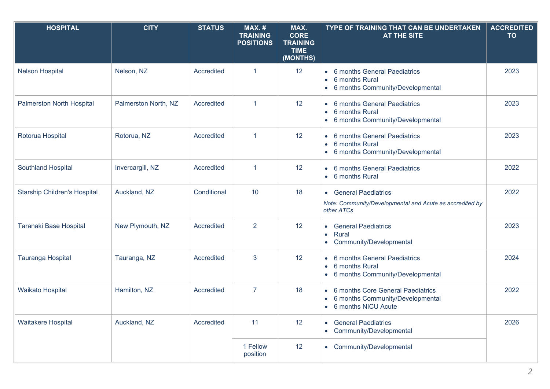| <b>HOSPITAL</b>                     | <b>CITY</b>          | <b>STATUS</b> | <b>MAX.#</b><br><b>TRAINING</b><br><b>POSITIONS</b> | MAX.<br><b>CORE</b><br><b>TRAINING</b><br><b>TIME</b><br>(MONTHS) | TYPE OF TRAINING THAT CAN BE UNDERTAKEN<br><b>AT THE SITE</b>                                                             | <b>ACCREDITED</b><br><b>TO</b> |
|-------------------------------------|----------------------|---------------|-----------------------------------------------------|-------------------------------------------------------------------|---------------------------------------------------------------------------------------------------------------------------|--------------------------------|
| <b>Nelson Hospital</b>              | Nelson, NZ           | Accredited    | $\overline{1}$                                      | 12                                                                | • 6 months General Paediatrics<br>6 months Rural<br>$\bullet$<br>• 6 months Community/Developmental                       | 2023                           |
| <b>Palmerston North Hospital</b>    | Palmerston North, NZ | Accredited    | 1                                                   | 12                                                                | 6 months General Paediatrics<br>$\bullet$<br>6 months Rural<br>$\bullet$<br>6 months Community/Developmental<br>$\bullet$ | 2023                           |
| Rotorua Hospital                    | Rotorua, NZ          | Accredited    | 1                                                   | 12                                                                | 6 months General Paediatrics<br>$\bullet$<br>6 months Rural<br>$\bullet$<br>• 6 months Community/Developmental            | 2023                           |
| Southland Hospital                  | Invercargill, NZ     | Accredited    | 1                                                   | 12                                                                | 6 months General Paediatrics<br>$\bullet$<br>• 6 months Rural                                                             | 2022                           |
| <b>Starship Children's Hospital</b> | Auckland, NZ         | Conditional   | 10                                                  | 18                                                                | • General Paediatrics<br>Note: Community/Developmental and Acute as accredited by<br>other ATCs                           | 2022                           |
| Taranaki Base Hospital              | New Plymouth, NZ     | Accredited    | $\overline{2}$                                      | 12                                                                | <b>General Paediatrics</b><br>$\bullet$<br>Rural<br>$\bullet$<br>Community/Developmental<br>$\bullet$                     | 2023                           |
| <b>Tauranga Hospital</b>            | Tauranga, NZ         | Accredited    | 3                                                   | 12                                                                | 6 months General Paediatrics<br>$\bullet$<br>6 months Rural<br>$\bullet$<br>• 6 months Community/Developmental            | 2024                           |
| <b>Waikato Hospital</b>             | Hamilton, NZ         | Accredited    | $\overline{7}$                                      | 18                                                                | 6 months Core General Paediatrics<br>$\bullet$<br>6 months Community/Developmental<br>• 6 months NICU Acute               | 2022                           |
| <b>Waitakere Hospital</b>           | Auckland, NZ         | Accredited    | 11                                                  | 12                                                                | <b>General Paediatrics</b><br>$\bullet$<br><b>Community/Developmental</b><br>$\bullet$                                    | 2026                           |
|                                     |                      |               | 1 Fellow<br>position                                | 12                                                                | • Community/Developmental                                                                                                 |                                |